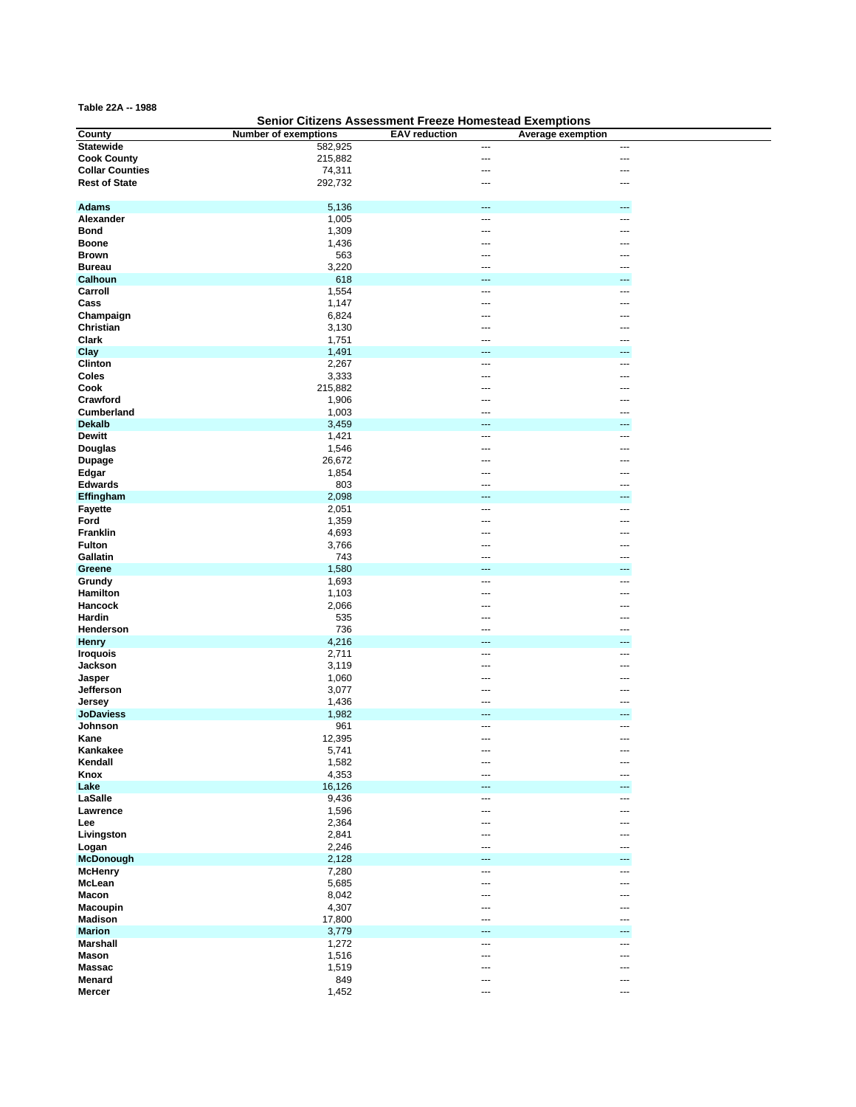**Table 22A -- 1988**

## **Senior Citizens Assessment Freeze Homestead Exemptions**

| County                 | <b>Number of exemptions</b> | <b>EAV</b> reduction | Average exemption        |
|------------------------|-----------------------------|----------------------|--------------------------|
| <b>Statewide</b>       | 582,925                     | ---                  | $\overline{a}$           |
| <b>Cook County</b>     | 215,882                     | ---                  | ---                      |
| <b>Collar Counties</b> | 74,311                      | ---                  |                          |
| <b>Rest of State</b>   | 292,732                     | ---                  | $\overline{\phantom{a}}$ |
|                        |                             |                      |                          |
|                        |                             |                      |                          |
| <b>Adams</b>           | 5,136                       | ---                  | ---                      |
| Alexander              | 1,005                       | ---                  | ---                      |
| <b>Bond</b>            | 1,309                       | ---                  | ---                      |
| <b>Boone</b>           | 1,436                       | ---                  |                          |
| <b>Brown</b>           | 563                         | ---                  |                          |
| <b>Bureau</b>          | 3,220                       | ---                  |                          |
| Calhoun                | 618                         | ---                  |                          |
|                        |                             |                      |                          |
| Carroll                | 1,554                       | ---                  | ---                      |
| Cass                   | 1,147                       | ---                  | ---                      |
| Champaign              | 6,824                       | ---                  |                          |
| Christian              | 3,130                       |                      |                          |
| Clark                  | 1,751                       | ---                  | ---                      |
| Clay                   | 1,491                       | ---                  |                          |
| Clinton                | 2,267                       | ---                  |                          |
| Coles                  | 3,333                       | ---                  | ---                      |
| Cook                   | 215,882                     | ---                  | ---                      |
|                        |                             |                      |                          |
| Crawford               | 1,906                       | ---                  | ---                      |
| Cumberland             | 1,003                       | ---                  |                          |
| <b>Dekalb</b>          | 3,459                       | ---                  | ---                      |
| <b>Dewitt</b>          | 1,421                       | ---                  | ---                      |
| <b>Douglas</b>         | 1,546                       | ---                  |                          |
| <b>Dupage</b>          | 26,672                      | --∙                  |                          |
| Edgar                  | 1,854                       |                      |                          |
| <b>Edwards</b>         | 803                         | ---                  | ---                      |
| Effingham              | 2,098                       | ---                  | ---                      |
|                        |                             | ---                  | ---                      |
| <b>Fayette</b>         | 2,051                       |                      |                          |
| Ford                   | 1,359                       | ---                  |                          |
| Franklin               | 4,693                       | ---                  |                          |
| <b>Fulton</b>          | 3,766                       | ---                  |                          |
| Gallatin               | 743                         | ---                  |                          |
| Greene                 | 1,580                       | ---                  | ---                      |
| Grundy                 | 1,693                       | ---                  | ---                      |
| Hamilton               | 1,103                       | ---                  | ---                      |
| Hancock                | 2,066                       | ---                  | ---                      |
| Hardin                 | 535                         | ---                  |                          |
| Henderson              | 736                         | ---                  |                          |
|                        |                             | ---                  | ---                      |
| <b>Henry</b>           | 4,216                       |                      |                          |
| <b>Iroquois</b>        | 2,711                       | ---                  |                          |
| Jackson                | 3,119                       | ---                  |                          |
| Jasper                 | 1,060                       | ---                  |                          |
| Jefferson              | 3,077                       | ---                  | ---                      |
| Jersey                 | 1,436                       | ---                  | ---                      |
| <b>JoDaviess</b>       | 1,982                       | ---                  |                          |
| Johnson                | 961                         | ---                  | ---                      |
| Kane                   | 12,395                      | ---                  | ---                      |
| Kankakee               | 5,741                       | ---                  | ---                      |
| Kendall                | 1,582                       | ---                  | ---                      |
| Knox                   | 4,353                       | ---                  | ---                      |
|                        |                             |                      |                          |
| Lake                   | 16,126                      | ---                  | $---$                    |
| LaSalle                | 9,436                       | ---                  | ---                      |
| Lawrence               | 1,596                       | ---                  | ---                      |
| Lee                    | 2,364                       | ---                  |                          |
| Livingston             | 2,841                       | ---                  | ---                      |
| Logan                  | 2,246                       | ---                  |                          |
| <b>McDonough</b>       | 2,128                       |                      |                          |
| <b>McHenry</b>         | 7,280                       | ---                  | ---                      |
| McLean                 | 5,685                       | ---                  | ---                      |
| <b>Macon</b>           | 8,042                       | ---                  | ---                      |
|                        |                             |                      |                          |
| <b>Macoupin</b>        | 4,307                       | ---                  | ---                      |
| <b>Madison</b>         | 17,800                      | ---                  | ---                      |
| <b>Marion</b>          | 3,779                       | ---                  | ---                      |
| <b>Marshall</b>        | 1,272                       | ---                  | ---                      |
| <b>Mason</b>           | 1,516                       | ---                  | ---                      |
| <b>Massac</b>          | 1,519                       | ---                  | ---                      |
| Menard                 | 849                         | ---                  | ---                      |
| Mercer                 | 1,452                       | ---                  | $\overline{a}$           |
|                        |                             |                      |                          |